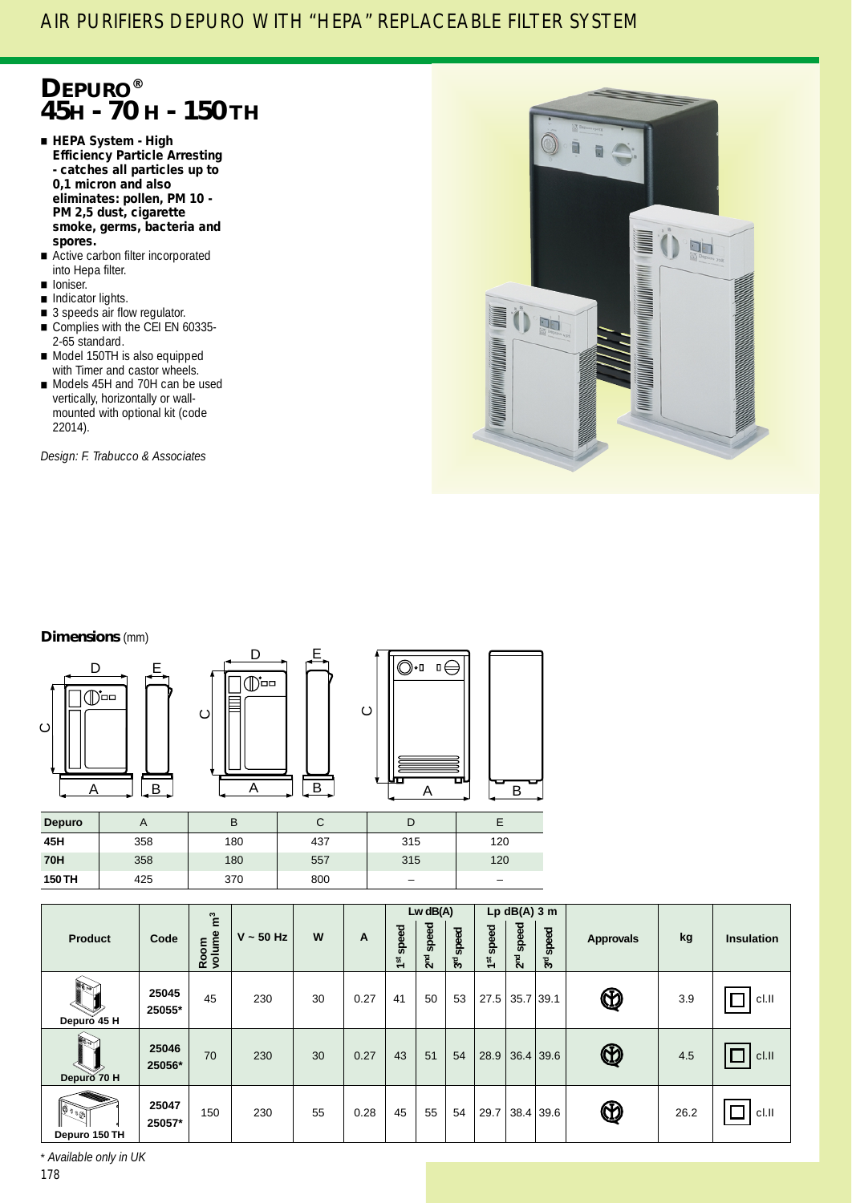## AIR PURIFIERS DEPURO WITH "HEPA" REPLACEABLE FILTER SYSTEM

# **DEPURO® 45H - 70 H - 150 TH**

- **HEPA System High Efficiency Particle Arresting - catches all particles up to 0,1 micron and also eliminates: pollen, PM 10 - PM 2,5 dust, cigarette smoke, germs, bacteria and spores.**
- Active carbon filter incorporated into Hepa filter.
- Ioniser.
- Indicator lights.
- 3 speeds air flow regulator. ■ Complies with the CEI EN 60335-2-65 standard.
- Model 150TH is also equipped with Timer and castor wheels.
- Models 45H and 70H can be used vertically, horizontally or wallmounted with optional kit (code 22014).

*Design: F. Trabucco & Associates*



#### **Dimensions** (mm)







B

| <b>Depuro</b> |     |     | $\check{ }$ |                          |                          |
|---------------|-----|-----|-------------|--------------------------|--------------------------|
| 45H           | 358 | 180 | 437         | 315                      | 120                      |
| <b>70H</b>    | 358 | 180 | 557         | 315                      | 120                      |
| <b>150 TH</b> | 425 | 370 | 800         | $\overline{\phantom{a}}$ | $\overline{\phantom{a}}$ |

|                                  |                 | $\tilde{r}$    |                |    |      |                        | $Lw$ dB $(A)$         |                         |                        | Lp $dB(A)$ 3 m           |           |                    |      |                   |
|----------------------------------|-----------------|----------------|----------------|----|------|------------------------|-----------------------|-------------------------|------------------------|--------------------------|-----------|--------------------|------|-------------------|
| <b>Product</b>                   | Code            | Room<br>volume | $V \sim 50$ Hz | W  | A    | speed<br>$\frac{1}{2}$ | 2 <sup>nd</sup> speed | speed<br>$\overline{3}$ | speed<br>$\frac{1}{2}$ | speed<br>2 <sup>rd</sup> | 3rd speed | <b>Approvals</b>   | kg   | <b>Insulation</b> |
| জিশ<br>$\searrow$<br>Depuro 45 H | 25045<br>25055* | 45             | 230            | 30 | 0.27 | 41                     | 50                    | 53                      | 27.5                   | 35.7                     | 39.1      | $\bm{\mathbb Q}$   | 3.9  | cl.II             |
| $\sum_{i=1}^n$<br>Depuro 70 H    | 25046<br>25056* | 70             | 230            | 30 | 0.27 | 43                     | 51                    | 54                      | 28.9                   | $36.4$ 39.6              |           | $\pmb{\mathbb{Q}}$ | 4.5  | $c$ .             |
| $\mathbb{R}$<br>Depuro 150 TH    | 25047<br>25057* | 150            | 230            | 55 | 0.28 | 45                     | 55                    | 54                      | 29.7                   | $38.4$ 39.6              |           | $\pmb{\mathbb{Q}}$ | 26.2 | cl.               |

\* *Available only in UK*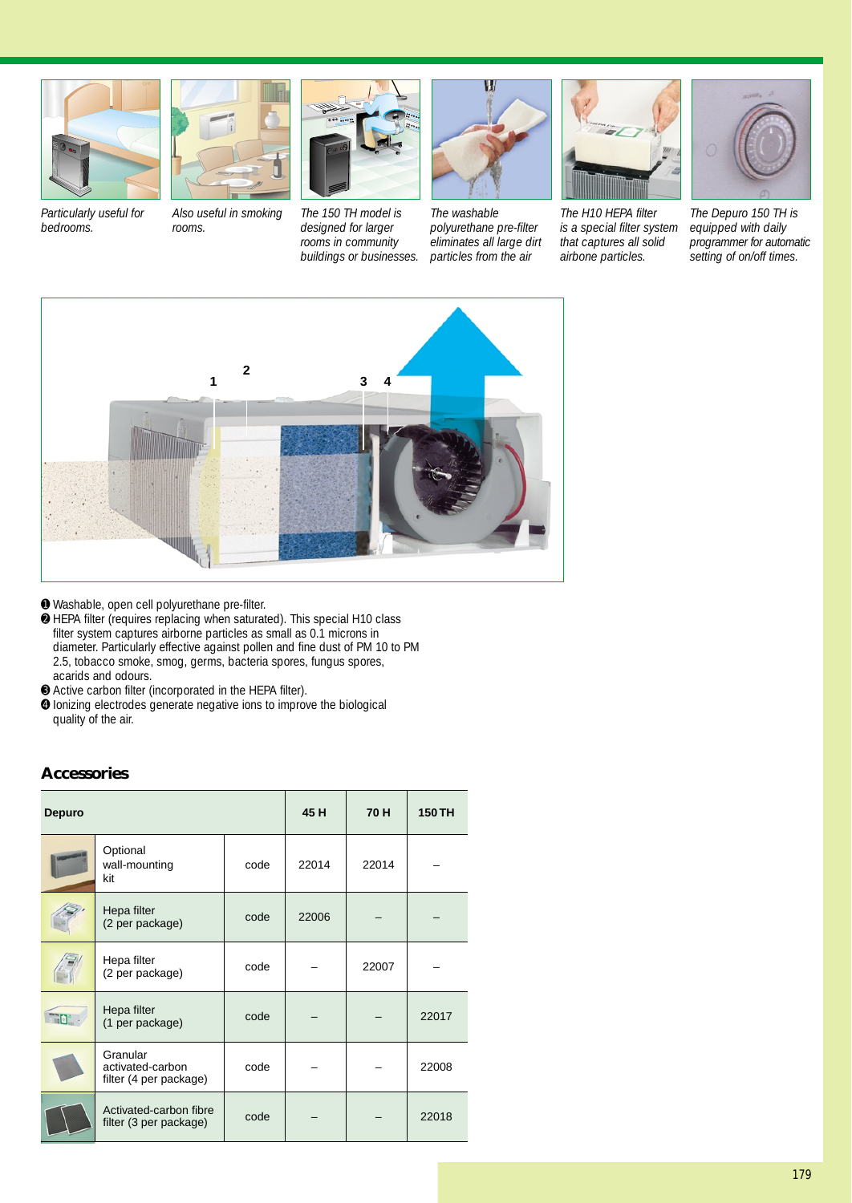



*Particularly useful for bedrooms.*

*Also useful in smoking rooms.*



*The 150 TH model is designed for larger rooms in community buildings or businesses.*



*The washable polyurethane pre-filter eliminates all large dirt particles from the air*



*The H10 HEPA filter is a special filter system that captures all solid airbone particles.*



*The Depuro 150 TH is equipped with daily programmer for automatic setting of on/off times.*



- ➊ Washable, open cell polyurethane pre-filter.
- ➋ HEPA filter (requires replacing when saturated). This special H10 class filter system captures airborne particles as small as 0.1 microns in diameter. Particularly effective against pollen and fine dust of PM 10 to PM 2.5, tobacco smoke, smog, germs, bacteria spores, fungus spores, acarids and odours.
- ➌ Active carbon filter (incorporated in the HEPA filter).
- ➍ Ionizing electrodes generate negative ions to improve the biological quality of the air.

#### **Accessories**

| <b>Depuro</b> |                                                        |      | 45 H  | 70 H  | <b>150 TH</b> |
|---------------|--------------------------------------------------------|------|-------|-------|---------------|
|               | Optional<br>wall-mounting<br>kit                       | code | 22014 | 22014 |               |
|               | Hepa filter<br>(2 per package)                         | code | 22006 |       |               |
|               | Hepa filter<br>(2 per package)                         | code |       | 22007 |               |
| <b>ATTER</b>  | Hepa filter<br>(1 per package)                         | code |       |       | 22017         |
|               | Granular<br>activated-carbon<br>filter (4 per package) | code |       |       | 22008         |
|               | Activated-carbon fibre<br>filter (3 per package)       | code |       |       | 22018         |